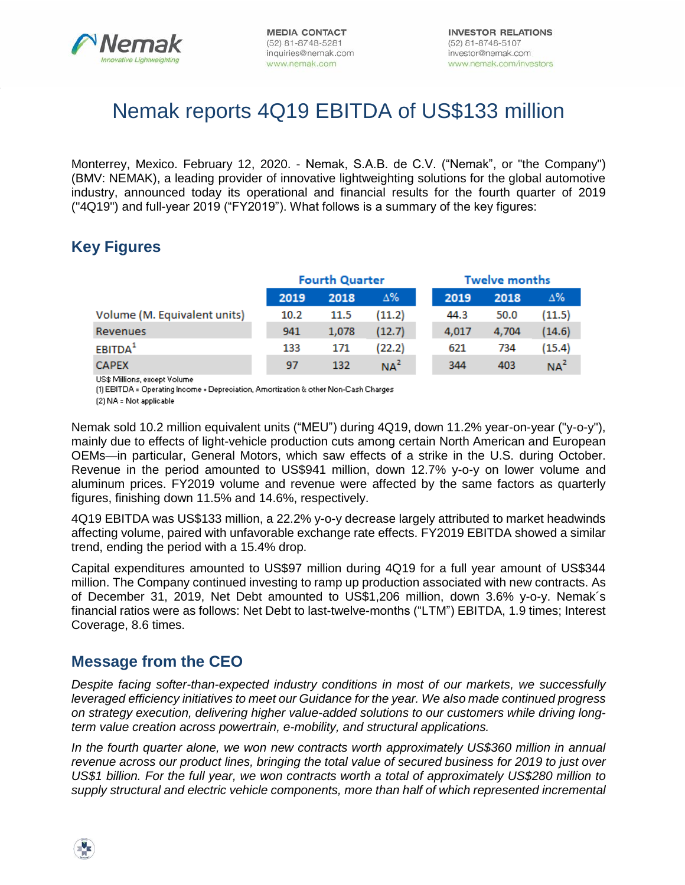

# Nemak reports 4Q19 EBITDA of US\$133 million

Monterrey, Mexico. February 12, 2020. - Nemak, S.A.B. de C.V. ("Nemak", or "the Company") (BMV: NEMAK), a leading provider of innovative lightweighting solutions for the global automotive industry, announced today its operational and financial results for the fourth quarter of 2019 ("4Q19") and full-year 2019 ("FY2019"). What follows is a summary of the key figures:

# **Key Figures**

|                              | <b>Fourth Quarter</b> |       |                 | <b>Twelve months</b> |       |                 |  |  |
|------------------------------|-----------------------|-------|-----------------|----------------------|-------|-----------------|--|--|
|                              | 2019                  | 2018  | Δ%              | 2019                 | 2018  | $\Delta\%$      |  |  |
| Volume (M. Equivalent units) | 10.2                  | 11.5  | (11.2)          | 44.3                 | 50.0  | (11.5)          |  |  |
| Revenues                     | 941                   | 1.078 | (12.7)          | 4,017                | 4.704 | (14.6)          |  |  |
| EBITDA <sup>1</sup>          | 133                   | 171   | (22.2)          | 621                  | 734   | (15.4)          |  |  |
| <b>CAPEX</b>                 | 97                    | 132   | NA <sup>2</sup> | 344                  | 403   | NA <sup>2</sup> |  |  |

US\$ Millions, except Volume

(1) EBITDA = Operating Income + Depreciation, Amortization & other Non-Cash Charges (2) NA = Not applicable

Nemak sold 10.2 million equivalent units ("MEU") during 4Q19, down 11.2% year-on-year ("y-o-y"), mainly due to effects of light-vehicle production cuts among certain North American and European OEMs—in particular, General Motors, which saw effects of a strike in the U.S. during October. Revenue in the period amounted to US\$941 million, down 12.7% y-o-y on lower volume and aluminum prices. FY2019 volume and revenue were affected by the same factors as quarterly figures, finishing down 11.5% and 14.6%, respectively.

4Q19 EBITDA was US\$133 million, a 22.2% y-o-y decrease largely attributed to market headwinds affecting volume, paired with unfavorable exchange rate effects. FY2019 EBITDA showed a similar trend, ending the period with a 15.4% drop.

Capital expenditures amounted to US\$97 million during 4Q19 for a full year amount of US\$344 million. The Company continued investing to ramp up production associated with new contracts. As of December 31, 2019, Net Debt amounted to US\$1,206 million, down 3.6% y-o-y. Nemak´s financial ratios were as follows: Net Debt to last-twelve-months ("LTM") EBITDA, 1.9 times; Interest Coverage, 8.6 times.

## **Message from the CEO**

*Despite facing softer-than-expected industry conditions in most of our markets, we successfully leveraged efficiency initiatives to meet our Guidance for the year. We also made continued progress on strategy execution, delivering higher value-added solutions to our customers while driving longterm value creation across powertrain, e-mobility, and structural applications.* 

*In the fourth quarter alone, we won new contracts worth approximately US\$360 million in annual revenue across our product lines, bringing the total value of secured business for 2019 to just over US\$1 billion. For the full year, we won contracts worth a total of approximately US\$280 million to supply structural and electric vehicle components, more than half of which represented incremental* 

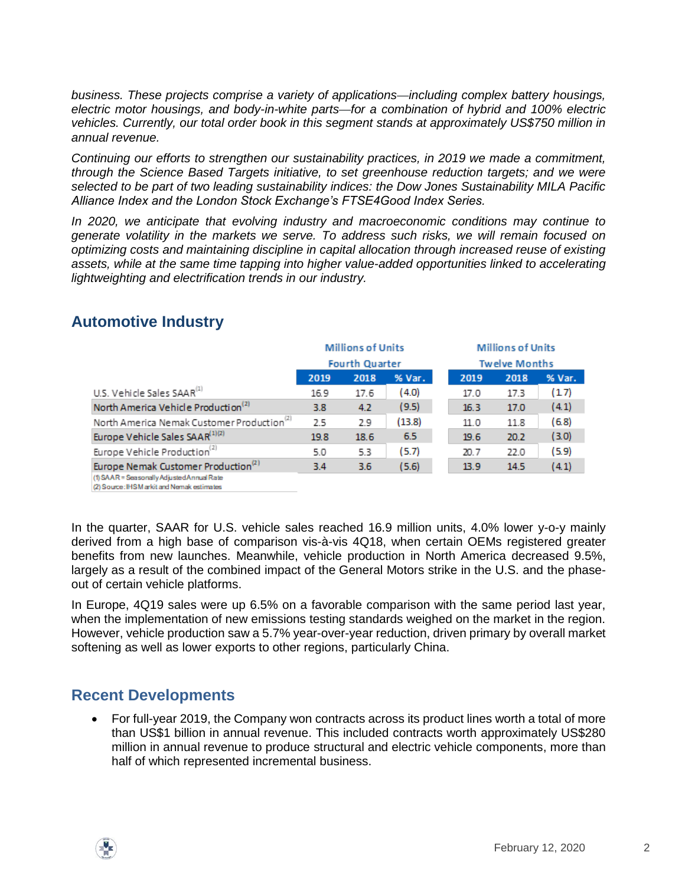*business. These projects comprise a variety of applications*—*including complex battery housings, electric motor housings, and body-in-white parts*—*for a combination of hybrid and 100% electric vehicles. Currently, our total order book in this segment stands at approximately US\$750 million in annual revenue.* 

*Continuing our efforts to strengthen our sustainability practices, in 2019 we made a commitment, through the Science Based Targets initiative, to set greenhouse reduction targets; and we were selected to be part of two leading sustainability indices: the Dow Jones Sustainability MILA Pacific Alliance Index and the London Stock Exchange's FTSE4Good Index Series.* 

*In 2020, we anticipate that evolving industry and macroeconomic conditions may continue to generate volatility in the markets we serve. To address such risks, we will remain focused on optimizing costs and maintaining discipline in capital allocation through increased reuse of existing assets, while at the same time tapping into higher value-added opportunities linked to accelerating lightweighting and electrification trends in our industry.*

|                                                        | <b>Millions of Units</b> |      |        |  | <b>Millions of Units</b> |                      |        |  |
|--------------------------------------------------------|--------------------------|------|--------|--|--------------------------|----------------------|--------|--|
|                                                        | <b>Fourth Quarter</b>    |      |        |  |                          | <b>Twelve Months</b> |        |  |
|                                                        | 2019                     | 2018 | % Var. |  | 2019                     | 2018                 | % Var. |  |
| U.S. Vehicle Sales SAAR <sup>(1)</sup>                 | 16.9                     | 17.6 | (4.0)  |  | 17.0                     | 17.3                 | (17)   |  |
| North America Vehicle Production <sup>(2)</sup>        | 3.8                      | 4.2  | (9.5)  |  | 16.3                     | 17.0                 | (4.1)  |  |
| North America Nemak Customer Production <sup>(2)</sup> | 2.5                      | 2.9  | (13.8) |  | 11.0                     | 11.8                 | (6.8)  |  |
| Europe Vehicle Sales SAAR <sup>(1)(2)</sup>            | 19.8                     | 18.6 | 6.5    |  | 19.6                     | 20.2                 | (3.0)  |  |
| Europe Vehicle Production <sup>(2)</sup>               | 5.0                      | 5.3  | (5.7)  |  | 20.7                     | 22.0                 | (5.9)  |  |
| Europe Nemak Customer Production <sup>(2)</sup>        | 3.4                      | 3.6  | (5.6)  |  | 13.9                     | 14.5                 | (4.1)  |  |

#### **Automotive Industry**

(1) SAAR = Seasonally Adjusted Annual Rate (2) Source: IHSM arkit and Nemak estimates

In the quarter, SAAR for U.S. vehicle sales reached 16.9 million units, 4.0% lower y-o-y mainly derived from a high base of comparison vis-à-vis 4Q18, when certain OEMs registered greater benefits from new launches. Meanwhile, vehicle production in North America decreased 9.5%, largely as a result of the combined impact of the General Motors strike in the U.S. and the phaseout of certain vehicle platforms.

In Europe, 4Q19 sales were up 6.5% on a favorable comparison with the same period last year, when the implementation of new emissions testing standards weighed on the market in the region. However, vehicle production saw a 5.7% year-over-year reduction, driven primary by overall market softening as well as lower exports to other regions, particularly China.

## **Recent Developments**

 For full-year 2019, the Company won contracts across its product lines worth a total of more than US\$1 billion in annual revenue. This included contracts worth approximately US\$280 million in annual revenue to produce structural and electric vehicle components, more than half of which represented incremental business.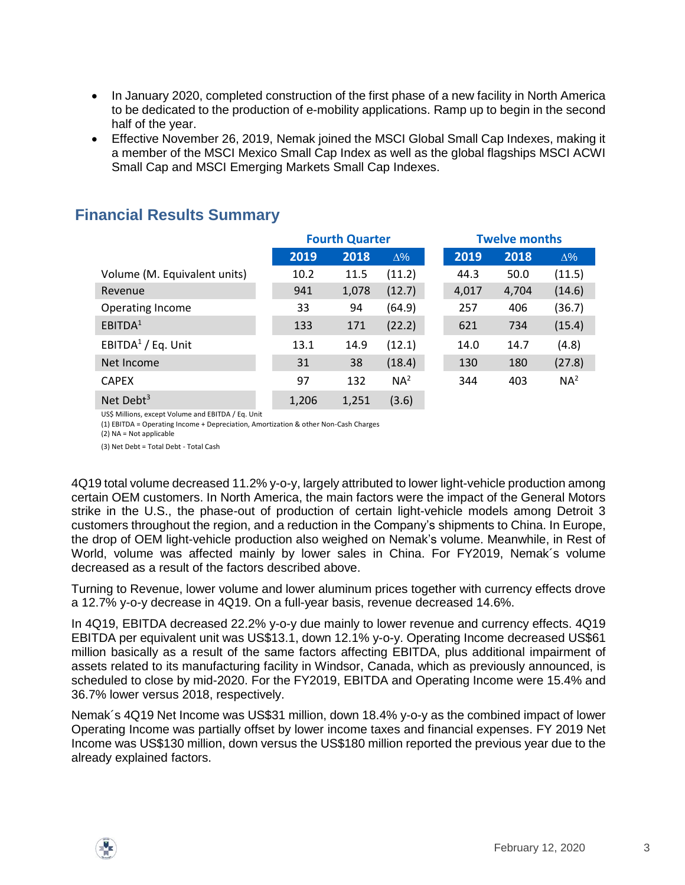- In January 2020, completed construction of the first phase of a new facility in North America to be dedicated to the production of e-mobility applications. Ramp up to begin in the second half of the year.
- Effective November 26, 2019, Nemak joined the MSCI Global Small Cap Indexes, making it a member of the MSCI Mexico Small Cap Index as well as the global flagships MSCI ACWI Small Cap and MSCI Emerging Markets Small Cap Indexes.

|                              |       | <b>Fourth Quarter</b> |                 |       | <b>Twelve months</b> |                 |
|------------------------------|-------|-----------------------|-----------------|-------|----------------------|-----------------|
|                              | 2019  | 2018                  | $\Delta\%$      | 2019  | 2018                 | $\Delta\%$      |
| Volume (M. Equivalent units) | 10.2  | 11.5                  | (11.2)          | 44.3  | 50.0                 | (11.5)          |
| Revenue                      | 941   | 1,078                 | (12.7)          | 4,017 | 4,704                | (14.6)          |
| Operating Income             | 33    | 94                    | (64.9)          | 257   | 406                  | (36.7)          |
| EBITDA <sup>1</sup>          | 133   | 171                   | (22.2)          | 621   | 734                  | (15.4)          |
| EBITDA $1/$ Eq. Unit         | 13.1  | 14.9                  | (12.1)          | 14.0  | 14.7                 | (4.8)           |
| Net Income                   | 31    | 38                    | (18.4)          | 130   | 180                  | (27.8)          |
| <b>CAPEX</b>                 | 97    | 132                   | NA <sup>2</sup> | 344   | 403                  | NA <sup>2</sup> |
| Net Debt <sup>3</sup>        | 1,206 | 1,251                 | (3.6)           |       |                      |                 |

#### **Financial Results Summary**

US\$ Millions, except Volume and EBITDA / Eq. Unit

(1) EBITDA = Operating Income + Depreciation, Amortization & other Non-Cash Charges (2) NA = Not applicable

(3) Net Debt = Total Debt - Total Cash

4Q19 total volume decreased 11.2% y-o-y, largely attributed to lower light-vehicle production among certain OEM customers. In North America, the main factors were the impact of the General Motors strike in the U.S., the phase-out of production of certain light-vehicle models among Detroit 3 customers throughout the region, and a reduction in the Company's shipments to China. In Europe, the drop of OEM light-vehicle production also weighed on Nemak's volume. Meanwhile, in Rest of World, volume was affected mainly by lower sales in China. For FY2019, Nemak´s volume decreased as a result of the factors described above.

Turning to Revenue, lower volume and lower aluminum prices together with currency effects drove a 12.7% y-o-y decrease in 4Q19. On a full-year basis, revenue decreased 14.6%.

In 4Q19, EBITDA decreased 22.2% y-o-y due mainly to lower revenue and currency effects. 4Q19 EBITDA per equivalent unit was US\$13.1, down 12.1% y-o-y. Operating Income decreased US\$61 million basically as a result of the same factors affecting EBITDA, plus additional impairment of assets related to its manufacturing facility in Windsor, Canada, which as previously announced, is scheduled to close by mid-2020. For the FY2019, EBITDA and Operating Income were 15.4% and 36.7% lower versus 2018, respectively.

Nemak´s 4Q19 Net Income was US\$31 million, down 18.4% y-o-y as the combined impact of lower Operating Income was partially offset by lower income taxes and financial expenses. FY 2019 Net Income was US\$130 million, down versus the US\$180 million reported the previous year due to the already explained factors.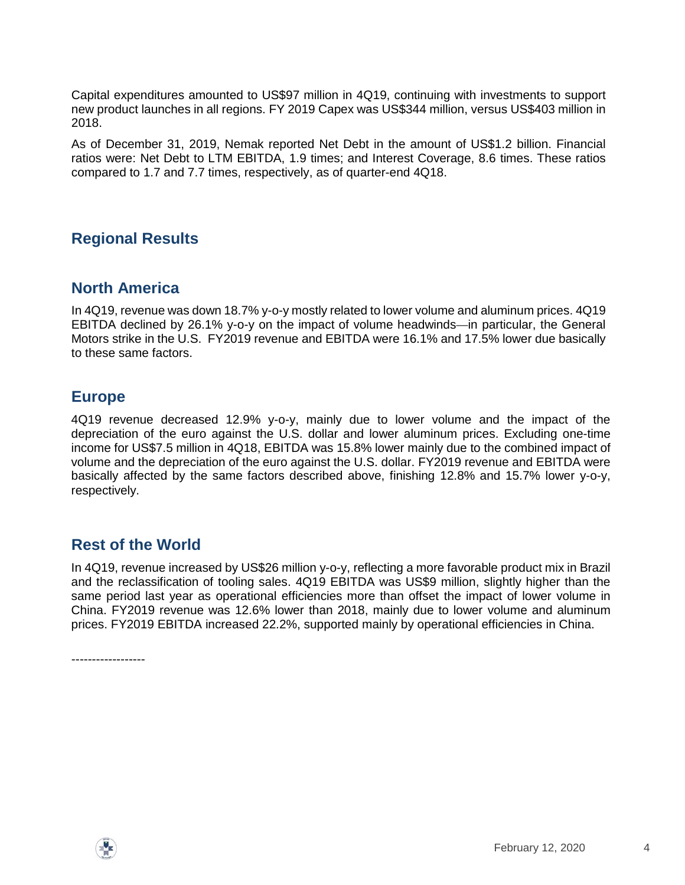Capital expenditures amounted to US\$97 million in 4Q19, continuing with investments to support new product launches in all regions. FY 2019 Capex was US\$344 million, versus US\$403 million in 2018.

As of December 31, 2019, Nemak reported Net Debt in the amount of US\$1.2 billion. Financial ratios were: Net Debt to LTM EBITDA, 1.9 times; and Interest Coverage, 8.6 times. These ratios compared to 1.7 and 7.7 times, respectively, as of quarter-end 4Q18.

## **Regional Results**

#### **North America**

In 4Q19, revenue was down 18.7% y-o-y mostly related to lower volume and aluminum prices. 4Q19 EBITDA declined by 26.1% y-o-y on the impact of volume headwinds—in particular, the General Motors strike in the U.S. FY2019 revenue and EBITDA were 16.1% and 17.5% lower due basically to these same factors.

#### **Europe**

4Q19 revenue decreased 12.9% y-o-y, mainly due to lower volume and the impact of the depreciation of the euro against the U.S. dollar and lower aluminum prices. Excluding one-time income for US\$7.5 million in 4Q18, EBITDA was 15.8% lower mainly due to the combined impact of volume and the depreciation of the euro against the U.S. dollar. FY2019 revenue and EBITDA were basically affected by the same factors described above, finishing 12.8% and 15.7% lower y-o-y, respectively.

#### **Rest of the World**

In 4Q19, revenue increased by US\$26 million y-o-y, reflecting a more favorable product mix in Brazil and the reclassification of tooling sales. 4Q19 EBITDA was US\$9 million, slightly higher than the same period last year as operational efficiencies more than offset the impact of lower volume in China. FY2019 revenue was 12.6% lower than 2018, mainly due to lower volume and aluminum prices. FY2019 EBITDA increased 22.2%, supported mainly by operational efficiencies in China.

------------------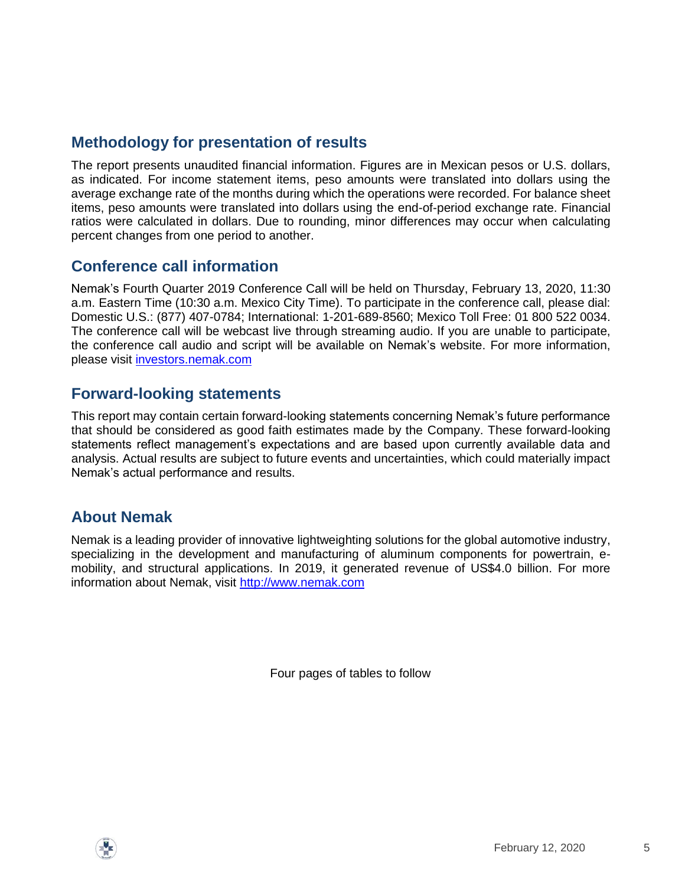# **Methodology for presentation of results**

The report presents unaudited financial information. Figures are in Mexican pesos or U.S. dollars, as indicated. For income statement items, peso amounts were translated into dollars using the average exchange rate of the months during which the operations were recorded. For balance sheet items, peso amounts were translated into dollars using the end-of-period exchange rate. Financial ratios were calculated in dollars. Due to rounding, minor differences may occur when calculating percent changes from one period to another.

#### **Conference call information**

Nemak's Fourth Quarter 2019 Conference Call will be held on Thursday, February 13, 2020, 11:30 a.m. Eastern Time (10:30 a.m. Mexico City Time). To participate in the conference call, please dial: Domestic U.S.: (877) 407-0784; International: 1-201-689-8560; Mexico Toll Free: 01 800 522 0034. The conference call will be webcast live through streaming audio. If you are unable to participate, the conference call audio and script will be available on Nemak's website. For more information, please visit [investors.nemak.com](http://investors.nemak.com/phoenix.zhtml?c=253659&p=irol-irhome)

#### **Forward-looking statements**

This report may contain certain forward-looking statements concerning Nemak's future performance that should be considered as good faith estimates made by the Company. These forward-looking statements reflect management's expectations and are based upon currently available data and analysis. Actual results are subject to future events and uncertainties, which could materially impact Nemak's actual performance and results.

## **About Nemak**

Nemak is a leading provider of innovative lightweighting solutions for the global automotive industry, specializing in the development and manufacturing of aluminum components for powertrain, emobility, and structural applications. In 2019, it generated revenue of US\$4.0 billion. For more information about Nemak, visit [http://www.nemak.com](http://www.nemak.com/)

Four pages of tables to follow

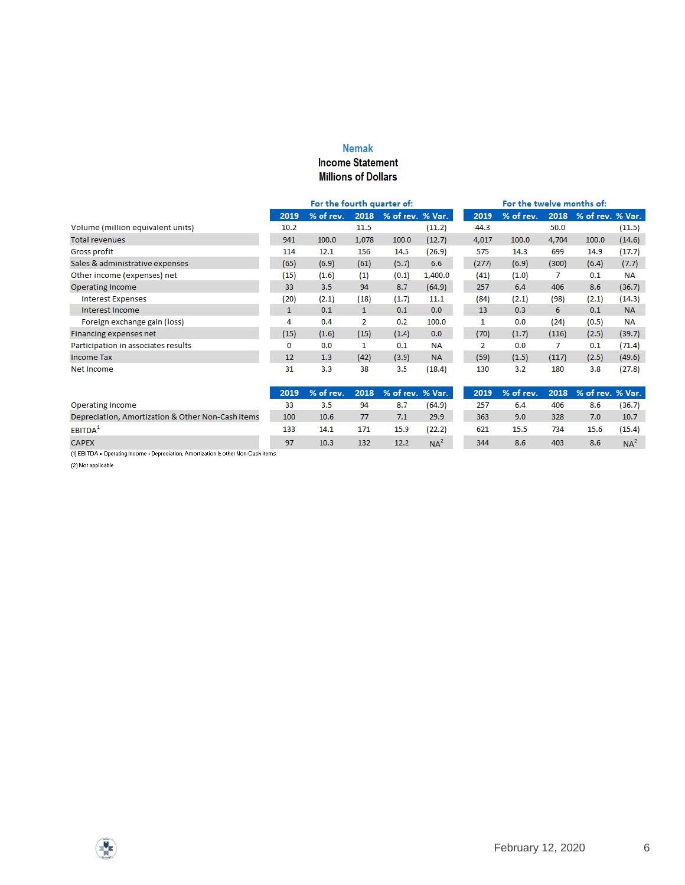#### **Nemak Income Statement**

#### **Millions of Dollars**

|                                     | For the fourth quarter of: |           |              |                  | For the twelve months of: |       |           |       |                  |           |
|-------------------------------------|----------------------------|-----------|--------------|------------------|---------------------------|-------|-----------|-------|------------------|-----------|
|                                     | 2019                       | % of rev. | 2018         | % of rev. % Var. |                           | 2019  | % of rev. | 2018  | % of rev. % Var. |           |
| Volume (million equivalent units)   | 10.2                       |           | 11.5         |                  | (11.2)                    | 44.3  |           | 50.0  |                  | (11.5)    |
| <b>Total revenues</b>               | 941                        | 100.0     | 1,078        | 100.0            | (12.7)                    | 4,017 | 100.0     | 4,704 | 100.0            | (14.6)    |
| Gross profit                        | 114                        | 12.1      | 156          | 14.5             | (26.9)                    | 575   | 14.3      | 699   | 14.9             | (17.7)    |
| Sales & administrative expenses     | (65)                       | (6.9)     | (61)         | (5.7)            | 6.6                       | (277) | (6.9)     | (300) | (6.4)            | (7.7)     |
| Other income (expenses) net         | (15)                       | (1.6)     | (1)          | (0.1)            | 1,400.0                   | (41)  | (1.0)     |       | 0.1              | <b>NA</b> |
| <b>Operating Income</b>             | 33                         | 3.5       | 94           | 8.7              | (64.9)                    | 257   | 6.4       | 406   | 8.6              | (36.7)    |
| <b>Interest Expenses</b>            | (20)                       | (2.1)     | (18)         | (1.7)            | 11.1                      | (84)  | (2.1)     | (98)  | (2.1)            | (14.3)    |
| Interest Income                     | 1                          | 0.1       | $\mathbf{1}$ | 0.1              | 0.0                       | 13    | 0.3       | 6     | 0.1              | <b>NA</b> |
| Foreign exchange gain (loss)        | 4                          | 0.4       | 2            | 0.2              | 100.0                     |       | 0.0       | (24)  | (0.5)            | <b>NA</b> |
| Financing expenses net              | (15)                       | (1.6)     | (15)         | (1.4)            | 0.0                       | (70)  | (1.7)     | (116) | (2.5)            | (39.7)    |
| Participation in associates results | 0                          | 0.0       | 1            | 0.1              | <b>NA</b>                 | 2     | 0.0       | 7     | 0.1              | (71.4)    |
| <b>Income Tax</b>                   | 12                         | 1.3       | (42)         | (3.9)            | <b>NA</b>                 | (59)  | (1.5)     | (117) | (2.5)            | (49.6)    |
| Net Income                          | 31                         | 3.3       | 38           | 3.5              | (18.4)                    | 130   | 3.2       | 180   | 3.8              | (27.8)    |

|                                                                                                                                                                                                                               |     | 2019 % of rev. 2018 % of rev. % Var. |     |      |                 |     | 2019 % of rev. 2018 % of rev. % Var. |     |      |        |
|-------------------------------------------------------------------------------------------------------------------------------------------------------------------------------------------------------------------------------|-----|--------------------------------------|-----|------|-----------------|-----|--------------------------------------|-----|------|--------|
| Operating Income                                                                                                                                                                                                              | 33  | 3.5                                  | 94  | 8.7  | (64.9)          | 257 | 6.4                                  | 406 | 8.6  | (36.7) |
| Depreciation, Amortization & Other Non-Cash items                                                                                                                                                                             | 100 | 10.6                                 |     | 7.1  | 29.9            | 363 | 9.0                                  | 328 | 7.0  | 10.7   |
| EBITDA <sup>1</sup>                                                                                                                                                                                                           | 133 | 14.1                                 | 171 | 15.9 | (22.2)          | 621 | 15.5                                 | 734 | 15.6 | (15.4) |
| <b>CAPEX</b>                                                                                                                                                                                                                  | 97  | 10.3 <sub>1</sub>                    | 132 | 12.2 | NA <sup>2</sup> | 344 | 8.6                                  | 403 | 8.6  | $NA^2$ |
| . An expected the contract of the contract of the contract of the contract of the contract of the contract of the contract of the contract of the contract of the contract of the contract of the contract of the contract of |     |                                      |     |      |                 |     |                                      |     |      |        |

(1) EBITDA = Operating Income + Depreciation, Amortization & other Non-Cash items

 $(2)$  Not applicable

**V**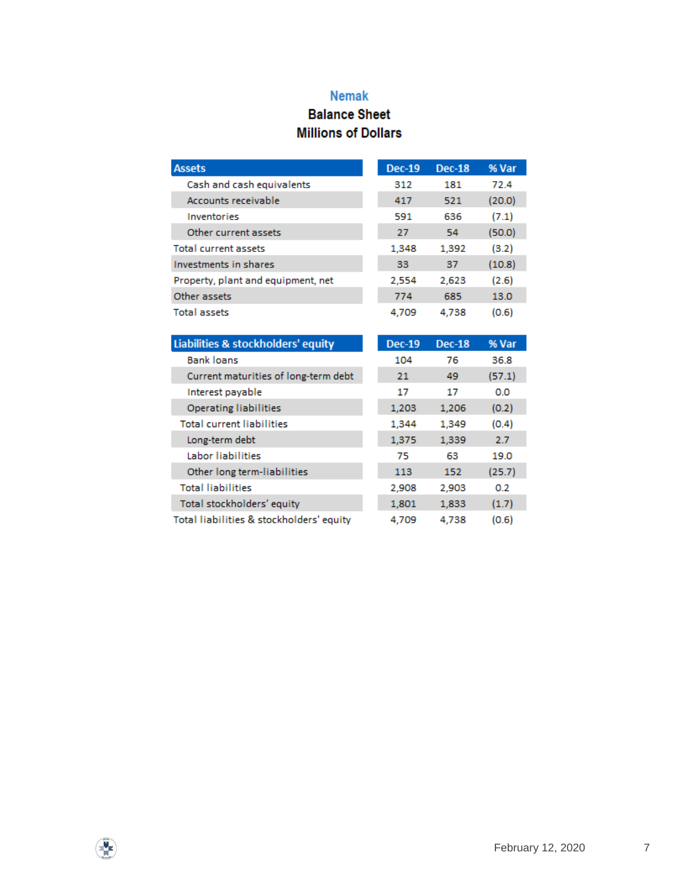#### **Nemak**

## **Balance Sheet Millions of Dollars**

| <b>Assets</b>                      | <b>Dec-19</b> | <b>Dec-18</b> | % Var  |
|------------------------------------|---------------|---------------|--------|
| Cash and cash equivalents          | 312           | 181           | 72.4   |
| Accounts receivable                | 417           | 521           | (20.0) |
| Inventories                        | 591           | 636           | (7.1)  |
| Other current assets               | 27            | 54            | (50.0) |
| <b>Total current assets</b>        | 1,348         | 1,392         | (3.2)  |
| Investments in shares              | 33            | 37            | (10.8) |
| Property, plant and equipment, net | 2,554         | 2.623         | (2.6)  |
| Other assets                       | 774           | 685           | 13.0   |
| <b>Total assets</b>                | 4.709         | 4.738         | (0.6)  |

| Liabilities & stockholders' equity       | <b>Dec-19</b> | <b>Dec-18</b> | % Var  |
|------------------------------------------|---------------|---------------|--------|
| <b>Bank loans</b>                        | 104           | 76            | 36.8   |
| Current maturities of long-term debt     | 21            | 49            | (57.1) |
| Interest payable                         | 17            | 17            | 0.0    |
| <b>Operating liabilities</b>             | 1,203         | 1,206         | (0.2)  |
| <b>Total current liabilities</b>         | 1,344         | 1,349         | (0.4)  |
| Long-term debt                           | 1,375         | 1,339         | 2.7    |
| Labor liabilities                        | 75            | 63            | 19.0   |
| Other long term-liabilities              | 113           | 152           | (25.7) |
| <b>Total liabilities</b>                 | 2,908         | 2,903         | 0.2    |
| Total stockholders' equity               | 1,801         | 1,833         | (1.7)  |
| Total liabilities & stockholders' equity | 4.709         | 4.738         | (0.6)  |

 $\frac{1}{\sqrt{2}}$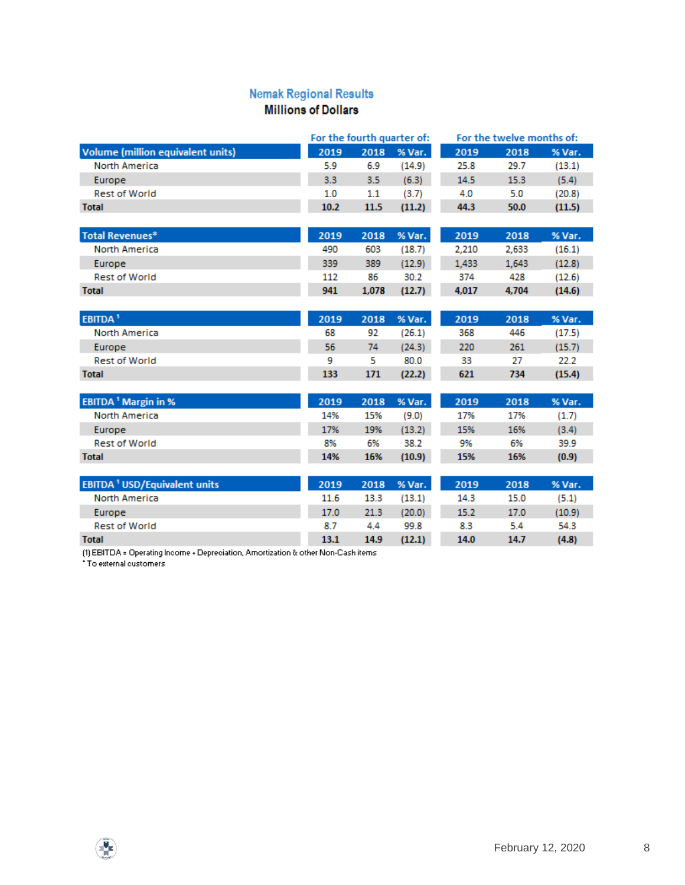#### **Nemak Regional Results Millions of Dollars**

#### For the fourth quarter of: For the twelve months of: Volume (million equivalent units) 2019 2018 % Var. 2019 2018 % Var. **North America** 5.9 6.9  $(14.9)$ 25.8 29.7  $(13.1)$ Europe  $3.3$  $3.5$  $(6.3)$ 14.5 15.3  $(5.4)$ **Rest of World**  $4.0$  $(20.8)$  $1.0$  $1.1$  $(3.7)$  $5.0$ **Total** 10.2 11.5  $(11.2)$ 44.3 50.0  $(11.5)$ **Total Revenues\*** 2019 2018 % Var. 2019 2018 % Var. 490 603 2,210 2,633  $(16.1)$ **North America**  $(18.7)$ Europe 339 389  $(12.9)$ 1,433 1,643  $(12.8)$ **Rest of World** 112 86 30.2 374 428  $(12.6)$ 941 4,017 4,704 **Total** 1,078  $(12.7)$  $(14.6)$ EBITDA<sup>1</sup> 2019 2018 % Var. 2019 2018 % Var. 92 446 North America 68  $(26.1)$ 368  $(17.5)$ Europe 56 74  $(24.3)$ 220 261  $(15.7)$ 80.0 **Rest of World** 9 5 33 27 22.2 133 171 621 734  $(15.4)$ **Total**  $(22.2)$ **EBITDA<sup>1</sup> Margin in %** 2019 2018 % Var. 2019 2018 % Var. 14% North America 15%  $(9.0)$ 17% 17%  $(1.7)$ 17% 15% 16% Europe 19%  $(13.2)$  $(3.4)$ **Rest of World** 8% 6% 38.2 9% 6% 39.9 14% **Total** 16%  $(10.9)$ 15% 16%  $(0.9)$ 2018 **EBITDA<sup>1</sup> USD/Equivalent units** 2019 2018 % Var. 2019 % Var. North America 11.6 13.3  $(13.1)$ 14.3 15.0  $(5.1)$ Europe 17.0 21.3  $(20.0)$ 15.2 17.0  $(10.9)$ 4.4 54.3 **Rest of World** 8.7 99.8 8.3 5.4 **Total** 13.1 14.9  $(12.1)$ 14.0 14.7  $(4.8)$ (1) EBITDA = Operating Income + Depreciation, Amortization & other Non-Cash items

\* To external customers